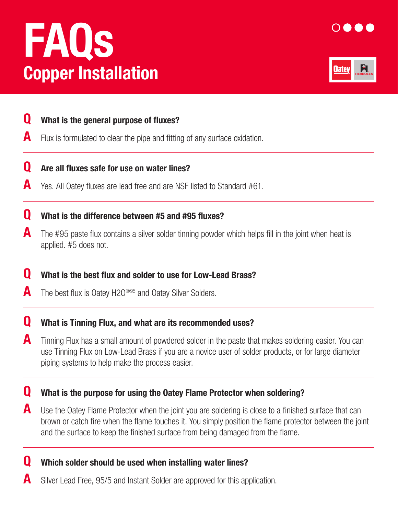# Copper Installation FAQs





## **Q** What is the general purpose of fluxes?

 $\blacksquare$  Flux is formulated to clear the pipe and fitting of any surface oxidation.

#### **Q** Are all fluxes safe for use on water lines?

A Yes. All Oatey fluxes are lead free and are NSF listed to Standard #61.

#### **Q** What is the difference between #5 and #95 fluxes?

 $\blacktriangle$  The #95 paste flux contains a silver solder tinning powder which helps fill in the joint when heat is applied. #5 does not.

#### **Q** What is the best flux and solder to use for Low-Lead Brass?

**A** The best flux is Oatey H2O<sup>®95</sup> and Oatey Silver Solders.

#### **Q** What is Tinning Flux, and what are its recommended uses?

**A** Tinning Flux has a small amount of powdered solder in the paste that makes soldering easier. You can use Tinning Flux on Low-Lead Brass if you are a novice user of solder products, or for large diameter piping systems to help make the process easier.

#### **Q** What is the purpose for using the Oatey Flame Protector when soldering?

 $\blacktriangle$  Use the Oatey Flame Protector when the joint you are soldering is close to a finished surface that can brown or catch fire when the flame touches it. You simply position the flame protector between the joint and the surface to keep the finished surface from being damaged from the flame.

#### **Q** Which solder should be used when installing water lines?

Silver Lead Free, 95/5 and Instant Solder are approved for this application.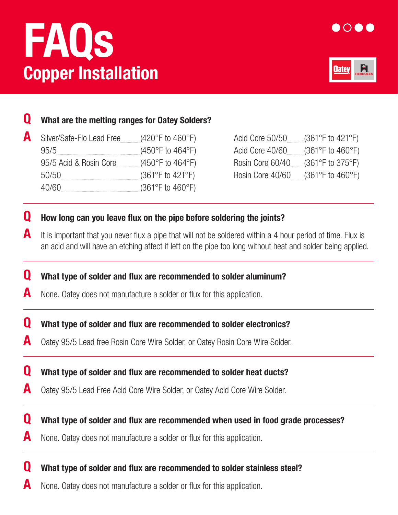# FAQs Copper Installation

 $\overline{a}$ 

 $\overline{a}$ 

 $\overline{a}$ 

 $\overline{a}$ 





## What are the melting ranges for Oatey Solders?

| Silver/Safe-Flo Lead Free | $(420^{\circ}$ F to 460°F)                | Acid Core $50/50$ (361°F to 421°F)            |  |
|---------------------------|-------------------------------------------|-----------------------------------------------|--|
| 95/5                      | $(450^{\circ}$ F to $464^{\circ}$ F)      | Acid Core $40/60$ (361°F to $460^{\circ}$ F)  |  |
| 95/5 Acid & Rosin Core    | (450°F to 464°F)                          | Rosin Core $60/40$ (361°F to 375°F)           |  |
| 50/50                     | $(361^{\circ}F \text{ to } 421^{\circ}F)$ | Rosin Core $40/60$ (361°F to $460^{\circ}$ F) |  |
| 40/60                     | $(361^{\circ}F \text{ to } 460^{\circ}F)$ |                                               |  |

| Acid Core 50/50  | $(361^{\circ}F \text{ to } 421^{\circ}F)$ |
|------------------|-------------------------------------------|
| Acid Core 40/60  | $(361^{\circ}F \text{ to } 460^{\circ}F)$ |
| Rosin Core 60/40 | $(361^{\circ}F \text{ to } 375^{\circ}F)$ |
| Rosin Core 40/60 | $(361^{\circ}F \text{ to } 460^{\circ}F)$ |

# **Q** How long can you leave flux on the pipe before soldering the joints?

 $\blacktriangle$  It is important that you never flux a pipe that will not be soldered within a 4 hour period of time. Flux is an acid and will have an etching affect if left on the pipe too long without heat and solder being applied.

**Q** What type of solder and flux are recommended to solder aluminum?

- $\blacksquare$  None. Oatey does not manufacture a solder or flux for this application.
- **Q** What type of solder and flux are recommended to solder electronics?
- A Oatey 95/5 Lead free Rosin Core Wire Solder, or Oatey Rosin Core Wire Solder.
- **Q** What type of solder and flux are recommended to solder heat ducts?
- A Oatey 95/5 Lead Free Acid Core Wire Solder, or Oatey Acid Core Wire Solder.
- **Q** What type of solder and flux are recommended when used in food grade processes?
- **A** None. Oatey does not manufacture a solder or flux for this application.
- **Q** What type of solder and flux are recommended to solder stainless steel?
- **A** None. Oatey does not manufacture a solder or flux for this application.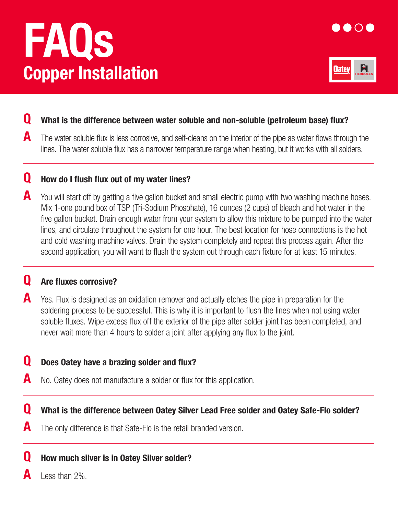# FAQs Copper Installation





## Q What is the difference between water soluble and non-soluble (petroleum base) flux?

 $\blacktriangle$  The water soluble flux is less corrosive, and self-cleans on the interior of the pipe as water flows through the lines. The water soluble flux has a narrower temperature range when heating, but it works with all solders.

## **Q** How do I flush flux out of my water lines?

 $\blacktriangle$  You will start off by getting a five gallon bucket and small electric pump with two washing machine hoses. Mix 1-one pound box of TSP (Tri-Sodium Phosphate), 16 ounces (2 cups) of bleach and hot water in the five gallon bucket. Drain enough water from your system to allow this mixture to be pumped into the water lines, and circulate throughout the system for one hour. The best location for hose connections is the hot and cold washing machine valves. Drain the system completely and repeat this process again. After the second application, you will want to flush the system out through each fixture for at least 15 minutes.

## **Q** Are fluxes corrosive?

 $\overline{\phantom{0}}$ 

 $\overline{a}$ 

 $\overline{a}$ 

 $\overline{a}$ 

 $\blacksquare$  Yes. Flux is designed as an oxidation remover and actually etches the pipe in preparation for the soldering process to be successful. This is why it is important to flush the lines when not using water soluble fluxes. Wipe excess flux off the exterior of the pipe after solder joint has been completed, and never wait more than 4 hours to solder a joint after applying any flux to the joint.

## **Q** Does Oatey have a brazing solder and flux?

- $\blacksquare$  No. Oatey does not manufacture a solder or flux for this application.
- Q What is the difference between Oatey Silver Lead Free solder and Oatey Safe-Flo solder?
- The only difference is that Safe-Flo is the retail branded version.

## **Q** How much silver is in Oatey Silver solder?

Less than 2%.